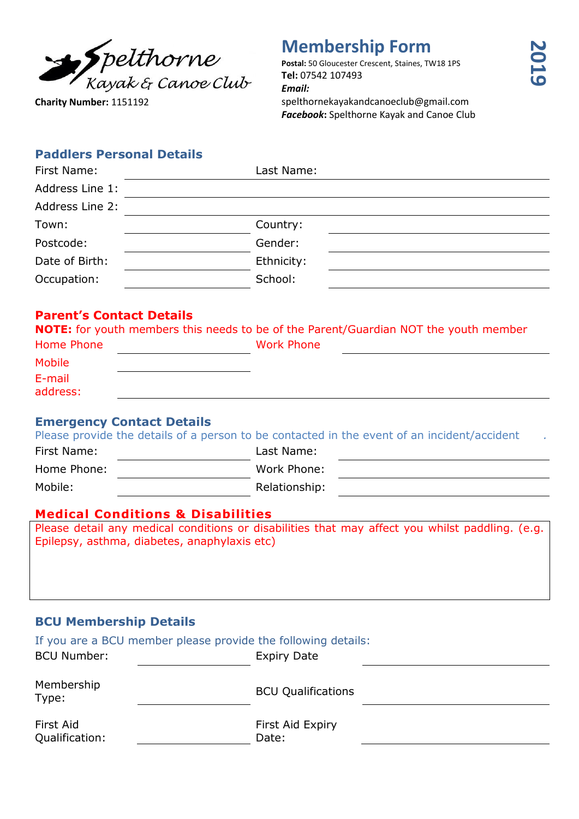

**Charity Number:** 1151192

# **Membership Form**

**Postal:** 50 Gloucester Crescent, Staines, TW18 1PS **Tel:** 07542 107493 *Email:* spelthornekayakandcanoeclub@gmail.com *Facebook***:** Spelthorne Kayak and Canoe Club

#### **Paddlers Personal Details**

| First Name:     | Last Name: |  |
|-----------------|------------|--|
| Address Line 1: |            |  |
| Address Line 2: |            |  |
| Town:           | Country:   |  |
| Postcode:       | Gender:    |  |
| Date of Birth:  | Ethnicity: |  |
| Occupation:     | School:    |  |
|                 |            |  |

## **Parent's Contact Details**

|  |  | <b>NOTE:</b> for youth members this needs to be of the Parent/Guardian NOT the youth member |  |
|--|--|---------------------------------------------------------------------------------------------|--|
|  |  |                                                                                             |  |

| Home Phone    | <b>Work Phone</b> |  |
|---------------|-------------------|--|
| <b>Mobile</b> |                   |  |
| E-mail        |                   |  |
| address:      |                   |  |

### **Emergency Contact Details**

|             | Please provide the details of a person to be contacted in the event of an incident/accident |  |
|-------------|---------------------------------------------------------------------------------------------|--|
| First Name: | Last Name:                                                                                  |  |
| Home Phone: | Work Phone:                                                                                 |  |
| Mobile:     | Relationship:                                                                               |  |
|             |                                                                                             |  |

### **Medical Conditions & Disabilities**

Please detail any medical conditions or disabilities that may affect you whilst paddling. (e.g. Epilepsy, asthma, diabetes, anaphylaxis etc)

# **BCU Membership Details**

| If you are a BCU member please provide the following details: |                           |
|---------------------------------------------------------------|---------------------------|
| <b>BCU Number:</b>                                            | <b>Expiry Date</b>        |
| Membership<br>Type:                                           | <b>BCU Qualifications</b> |
| First Aid<br>Qualification:                                   | First Aid Expiry<br>Date: |